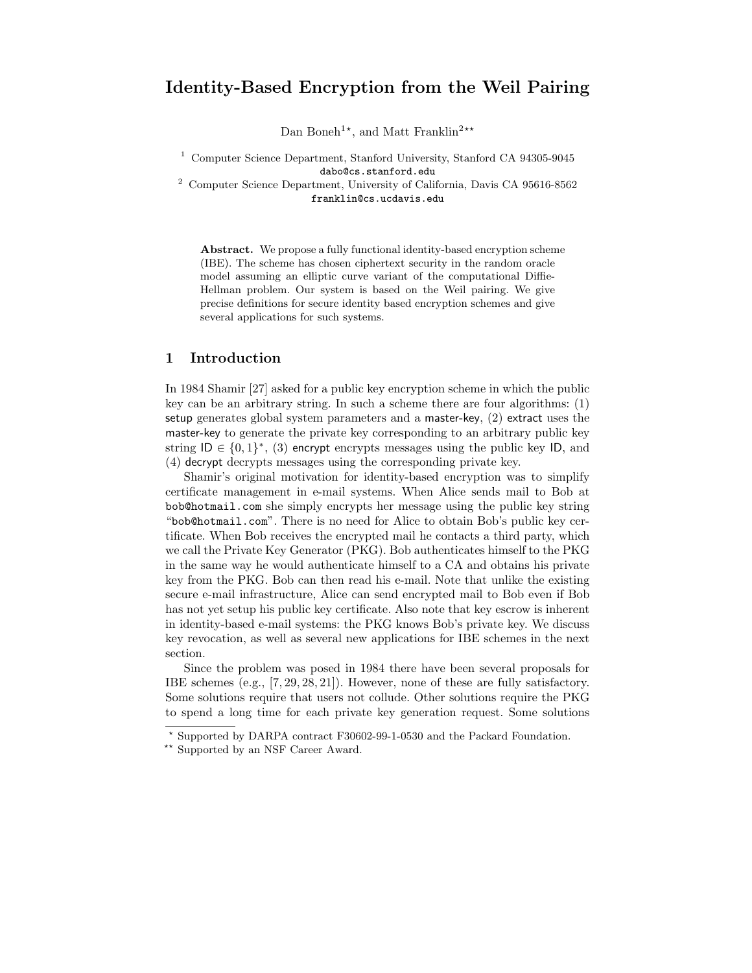# Identity-Based Encryption from the Weil Pairing

Dan Boneh<sup>1\*</sup>, and Matt Franklin<sup>2\*\*</sup>

<sup>1</sup> Computer Science Department, Stanford University, Stanford CA 94305-9045 dabo@cs.stanford.edu

<sup>2</sup> Computer Science Department, University of California, Davis CA 95616-8562 franklin@cs.ucdavis.edu

Abstract. We propose a fully functional identity-based encryption scheme (IBE). The scheme has chosen ciphertext security in the random oracle model assuming an elliptic curve variant of the computational Diffie-Hellman problem. Our system is based on the Weil pairing. We give precise definitions for secure identity based encryption schemes and give several applications for such systems.

## 1 Introduction

In 1984 Shamir [27] asked for a public key encryption scheme in which the public key can be an arbitrary string. In such a scheme there are four algorithms: (1) setup generates global system parameters and a master-key, (2) extract uses the master-key to generate the private key corresponding to an arbitrary public key string  $ID \in \{0,1\}^*$ , (3) encrypt encrypts messages using the public key ID, and (4) decrypt decrypts messages using the corresponding private key.

Shamir's original motivation for identity-based encryption was to simplify certificate management in e-mail systems. When Alice sends mail to Bob at bob@hotmail.com she simply encrypts her message using the public key string "bob@hotmail.com". There is no need for Alice to obtain Bob's public key certificate. When Bob receives the encrypted mail he contacts a third party, which we call the Private Key Generator (PKG). Bob authenticates himself to the PKG in the same way he would authenticate himself to a CA and obtains his private key from the PKG. Bob can then read his e-mail. Note that unlike the existing secure e-mail infrastructure, Alice can send encrypted mail to Bob even if Bob has not yet setup his public key certificate. Also note that key escrow is inherent in identity-based e-mail systems: the PKG knows Bob's private key. We discuss key revocation, as well as several new applications for IBE schemes in the next section.

Since the problem was posed in 1984 there have been several proposals for IBE schemes (e.g., [7, 29, 28, 21]). However, none of these are fully satisfactory. Some solutions require that users not collude. Other solutions require the PKG to spend a long time for each private key generation request. Some solutions

<sup>?</sup> Supported by DARPA contract F30602-99-1-0530 and the Packard Foundation.

<sup>\*\*</sup> Supported by an NSF Career Award.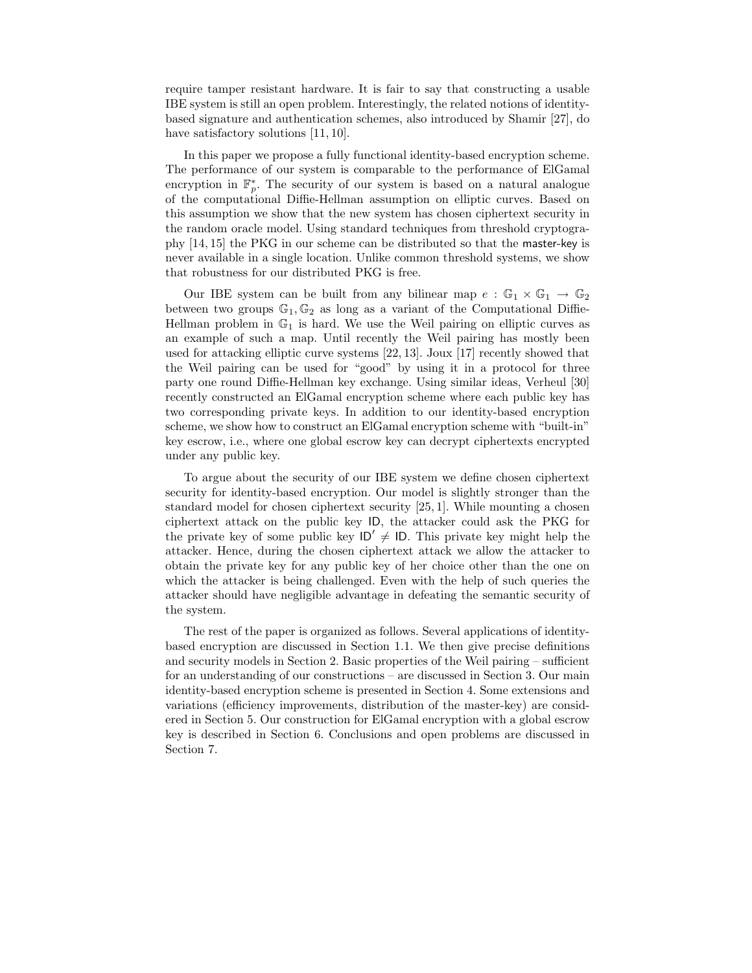require tamper resistant hardware. It is fair to say that constructing a usable IBE system is still an open problem. Interestingly, the related notions of identitybased signature and authentication schemes, also introduced by Shamir [27], do have satisfactory solutions [11, 10].

In this paper we propose a fully functional identity-based encryption scheme. The performance of our system is comparable to the performance of ElGamal encryption in  $\mathbb{F}_p^*$ . The security of our system is based on a natural analogue of the computational Diffie-Hellman assumption on elliptic curves. Based on this assumption we show that the new system has chosen ciphertext security in the random oracle model. Using standard techniques from threshold cryptography [14, 15] the PKG in our scheme can be distributed so that the master-key is never available in a single location. Unlike common threshold systems, we show that robustness for our distributed PKG is free.

Our IBE system can be built from any bilinear map  $e : \mathbb{G}_1 \times \mathbb{G}_1 \to \mathbb{G}_2$ between two groups  $\mathbb{G}_1, \mathbb{G}_2$  as long as a variant of the Computational Diffie-Hellman problem in  $\mathbb{G}_1$  is hard. We use the Weil pairing on elliptic curves as an example of such a map. Until recently the Weil pairing has mostly been used for attacking elliptic curve systems [22, 13]. Joux [17] recently showed that the Weil pairing can be used for "good" by using it in a protocol for three party one round Diffie-Hellman key exchange. Using similar ideas, Verheul [30] recently constructed an ElGamal encryption scheme where each public key has two corresponding private keys. In addition to our identity-based encryption scheme, we show how to construct an ElGamal encryption scheme with "built-in" key escrow, i.e., where one global escrow key can decrypt ciphertexts encrypted under any public key.

To argue about the security of our IBE system we define chosen ciphertext security for identity-based encryption. Our model is slightly stronger than the standard model for chosen ciphertext security [25, 1]. While mounting a chosen ciphertext attack on the public key ID, the attacker could ask the PKG for the private key of some public key  $\mathsf{ID}' \neq \mathsf{ID}$ . This private key might help the attacker. Hence, during the chosen ciphertext attack we allow the attacker to obtain the private key for any public key of her choice other than the one on which the attacker is being challenged. Even with the help of such queries the attacker should have negligible advantage in defeating the semantic security of the system.

The rest of the paper is organized as follows. Several applications of identitybased encryption are discussed in Section 1.1. We then give precise definitions and security models in Section 2. Basic properties of the Weil pairing – sufficient for an understanding of our constructions – are discussed in Section 3. Our main identity-based encryption scheme is presented in Section 4. Some extensions and variations (efficiency improvements, distribution of the master-key) are considered in Section 5. Our construction for ElGamal encryption with a global escrow key is described in Section 6. Conclusions and open problems are discussed in Section 7.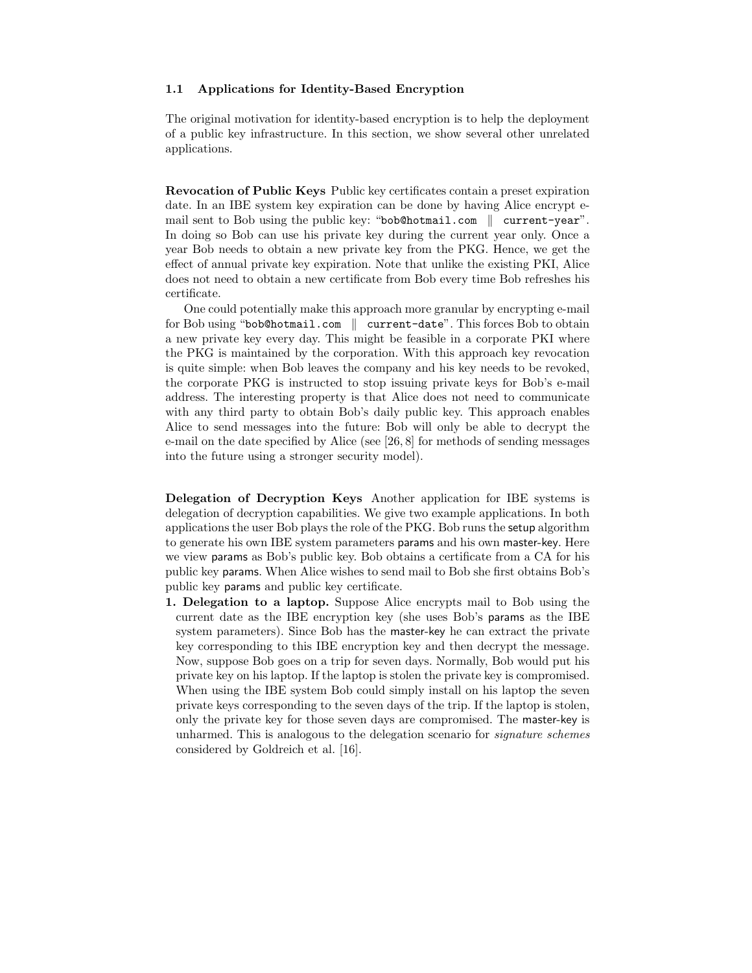#### 1.1 Applications for Identity-Based Encryption

The original motivation for identity-based encryption is to help the deployment of a public key infrastructure. In this section, we show several other unrelated applications.

Revocation of Public Keys Public key certificates contain a preset expiration date. In an IBE system key expiration can be done by having Alice encrypt email sent to Bob using the public key: "bob@hotmail.com  $\parallel$  current-year". In doing so Bob can use his private key during the current year only. Once a year Bob needs to obtain a new private key from the PKG. Hence, we get the effect of annual private key expiration. Note that unlike the existing PKI, Alice does not need to obtain a new certificate from Bob every time Bob refreshes his certificate.

One could potentially make this approach more granular by encrypting e-mail for Bob using "bob@hotmail.com  $\parallel$  current-date". This forces Bob to obtain a new private key every day. This might be feasible in a corporate PKI where the PKG is maintained by the corporation. With this approach key revocation is quite simple: when Bob leaves the company and his key needs to be revoked, the corporate PKG is instructed to stop issuing private keys for Bob's e-mail address. The interesting property is that Alice does not need to communicate with any third party to obtain Bob's daily public key. This approach enables Alice to send messages into the future: Bob will only be able to decrypt the e-mail on the date specified by Alice (see [26, 8] for methods of sending messages into the future using a stronger security model).

Delegation of Decryption Keys Another application for IBE systems is delegation of decryption capabilities. We give two example applications. In both applications the user Bob plays the role of the PKG. Bob runs the setup algorithm to generate his own IBE system parameters params and his own master-key. Here we view params as Bob's public key. Bob obtains a certificate from a CA for his public key params. When Alice wishes to send mail to Bob she first obtains Bob's public key params and public key certificate.

1. Delegation to a laptop. Suppose Alice encrypts mail to Bob using the current date as the IBE encryption key (she uses Bob's params as the IBE system parameters). Since Bob has the master-key he can extract the private key corresponding to this IBE encryption key and then decrypt the message. Now, suppose Bob goes on a trip for seven days. Normally, Bob would put his private key on his laptop. If the laptop is stolen the private key is compromised. When using the IBE system Bob could simply install on his laptop the seven private keys corresponding to the seven days of the trip. If the laptop is stolen, only the private key for those seven days are compromised. The master-key is unharmed. This is analogous to the delegation scenario for signature schemes considered by Goldreich et al. [16].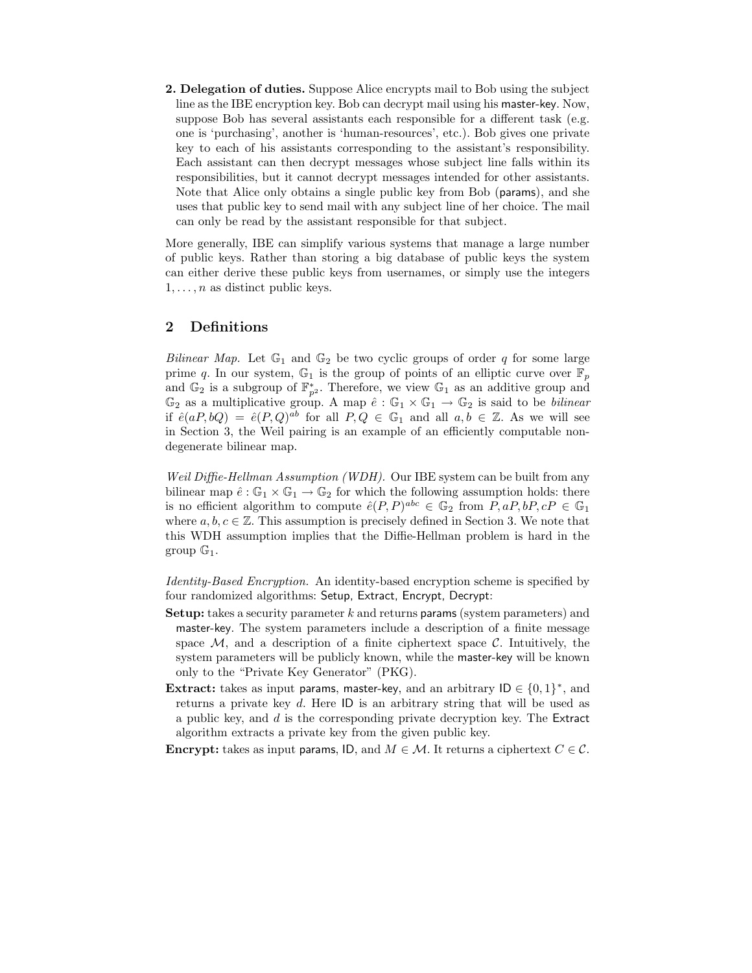2. Delegation of duties. Suppose Alice encrypts mail to Bob using the subject line as the IBE encryption key. Bob can decrypt mail using his master-key. Now, suppose Bob has several assistants each responsible for a different task (e.g. one is 'purchasing', another is 'human-resources', etc.). Bob gives one private key to each of his assistants corresponding to the assistant's responsibility. Each assistant can then decrypt messages whose subject line falls within its responsibilities, but it cannot decrypt messages intended for other assistants. Note that Alice only obtains a single public key from Bob (params), and she uses that public key to send mail with any subject line of her choice. The mail can only be read by the assistant responsible for that subject.

More generally, IBE can simplify various systems that manage a large number of public keys. Rather than storing a big database of public keys the system can either derive these public keys from usernames, or simply use the integers  $1, \ldots, n$  as distinct public keys.

### 2 Definitions

Bilinear Map. Let  $\mathbb{G}_1$  and  $\mathbb{G}_2$  be two cyclic groups of order q for some large prime q. In our system,  $\mathbb{G}_1$  is the group of points of an elliptic curve over  $\mathbb{F}_p$ and  $\mathbb{G}_2$  is a subgroup of  $\mathbb{F}_{p^2}^*$ . Therefore, we view  $\mathbb{G}_1$  as an additive group and  $\mathbb{G}_2$  as a multiplicative group. A map  $\hat{e}: \mathbb{G}_1 \times \mathbb{G}_1 \to \mathbb{G}_2$  is said to be *bilinear* if  $\hat{e}(aP, bQ) = \hat{e}(P, Q)^{ab}$  for all  $P, Q \in \mathbb{G}_1$  and all  $a, b \in \mathbb{Z}$ . As we will see in Section 3, the Weil pairing is an example of an efficiently computable nondegenerate bilinear map.

Weil Diffie-Hellman Assumption (WDH). Our IBE system can be built from any bilinear map  $\hat{e} : \mathbb{G}_1 \times \mathbb{G}_1 \to \mathbb{G}_2$  for which the following assumption holds: there is no efficient algorithm to compute  $\hat{e}(P, P)^{abc} \in \mathbb{G}_2$  from  $P, aP, bP, cP \in \mathbb{G}_1$ where  $a, b, c \in \mathbb{Z}$ . This assumption is precisely defined in Section 3. We note that this WDH assumption implies that the Diffie-Hellman problem is hard in the group  $\mathbb{G}_1$ .

Identity-Based Encryption. An identity-based encryption scheme is specified by four randomized algorithms: Setup, Extract, Encrypt, Decrypt:

- **Setup:** takes a security parameter  $k$  and returns params (system parameters) and master-key. The system parameters include a description of a finite message space  $M$ , and a description of a finite ciphertext space  $C$ . Intuitively, the system parameters will be publicly known, while the master-key will be known only to the "Private Key Generator" (PKG).
- Extract: takes as input params, master-key, and an arbitrary  $ID \in \{0,1\}^*$ , and returns a private key d. Here ID is an arbitrary string that will be used as a public key, and d is the corresponding private decryption key. The Extract algorithm extracts a private key from the given public key.
- **Encrypt:** takes as input params, ID, and  $M \in \mathcal{M}$ . It returns a ciphertext  $C \in \mathcal{C}$ .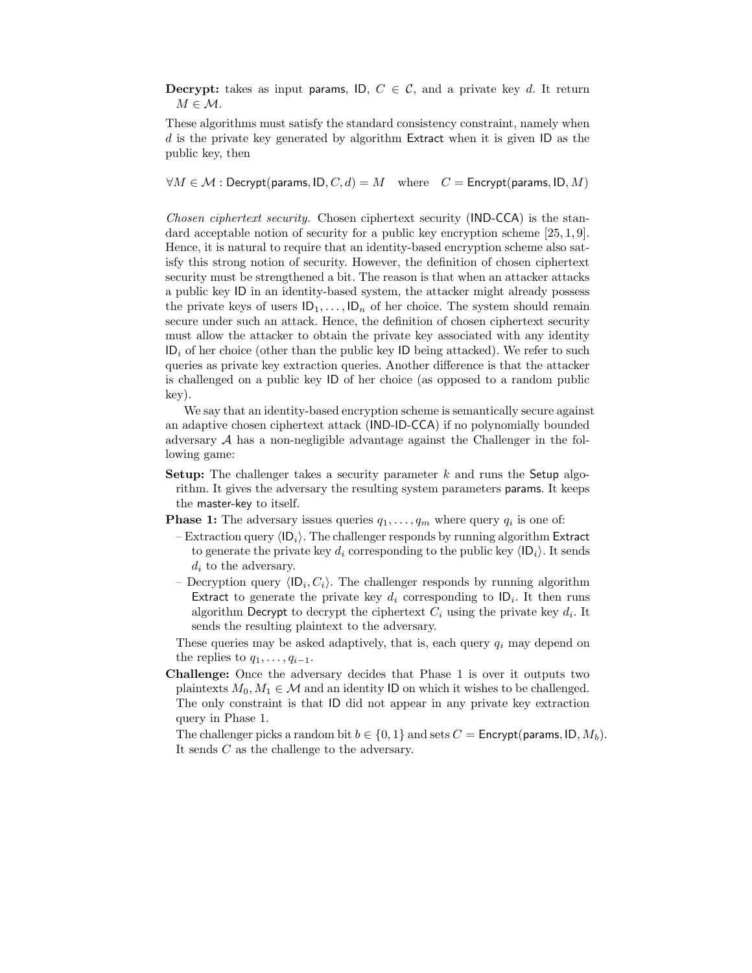**Decrypt:** takes as input params, ID,  $C \in \mathcal{C}$ , and a private key d. It return  $M \in \mathcal{M}$ .

These algorithms must satisfy the standard consistency constraint, namely when d is the private key generated by algorithm Extract when it is given ID as the public key, then

 $\forall M \in \mathcal{M} :$  Decrypt(params, ID,  $C, d$ ) = M where  $C =$  Encrypt(params, ID, M)

Chosen ciphertext security. Chosen ciphertext security (IND-CCA) is the standard acceptable notion of security for a public key encryption scheme [25, 1, 9]. Hence, it is natural to require that an identity-based encryption scheme also satisfy this strong notion of security. However, the definition of chosen ciphertext security must be strengthened a bit. The reason is that when an attacker attacks a public key ID in an identity-based system, the attacker might already possess the private keys of users  $ID_1, \ldots, ID_n$  of her choice. The system should remain secure under such an attack. Hence, the definition of chosen ciphertext security must allow the attacker to obtain the private key associated with any identity  $ID_i$  of her choice (other than the public key ID being attacked). We refer to such queries as private key extraction queries. Another difference is that the attacker is challenged on a public key ID of her choice (as opposed to a random public key).

We say that an identity-based encryption scheme is semantically secure against an adaptive chosen ciphertext attack (IND-ID-CCA) if no polynomially bounded adversary A has a non-negligible advantage against the Challenger in the following game:

- **Setup:** The challenger takes a security parameter  $k$  and runs the Setup algorithm. It gives the adversary the resulting system parameters params. It keeps the master-key to itself.
- **Phase 1:** The adversary issues queries  $q_1, \ldots, q_m$  where query  $q_i$  is one of:
	- Extraction query  $\langle \mathbf{I} \mathbf{D}_i \rangle$ . The challenger responds by running algorithm Extract to generate the private key  $d_i$  corresponding to the public key  $\langle \mathbf{D}_i \rangle$ . It sends  $d_i$  to the adversary.
	- Decryption query  $\langle \mathsf{ID}_i, C_i \rangle$ . The challenger responds by running algorithm Extract to generate the private key  $d_i$  corresponding to  $\mathsf{ID}_i$ . It then runs algorithm Decrypt to decrypt the ciphertext  $C_i$  using the private key  $d_i$ . It sends the resulting plaintext to the adversary.

These queries may be asked adaptively, that is, each query  $q_i$  may depend on the replies to  $q_1, \ldots, q_{i-1}$ .

Challenge: Once the adversary decides that Phase 1 is over it outputs two plaintexts  $M_0, M_1 \in \mathcal{M}$  and an identity ID on which it wishes to be challenged. The only constraint is that ID did not appear in any private key extraction query in Phase 1.

The challenger picks a random bit  $b \in \{0, 1\}$  and sets  $C =$  Encrypt(params, ID,  $M_b$ ). It sends C as the challenge to the adversary.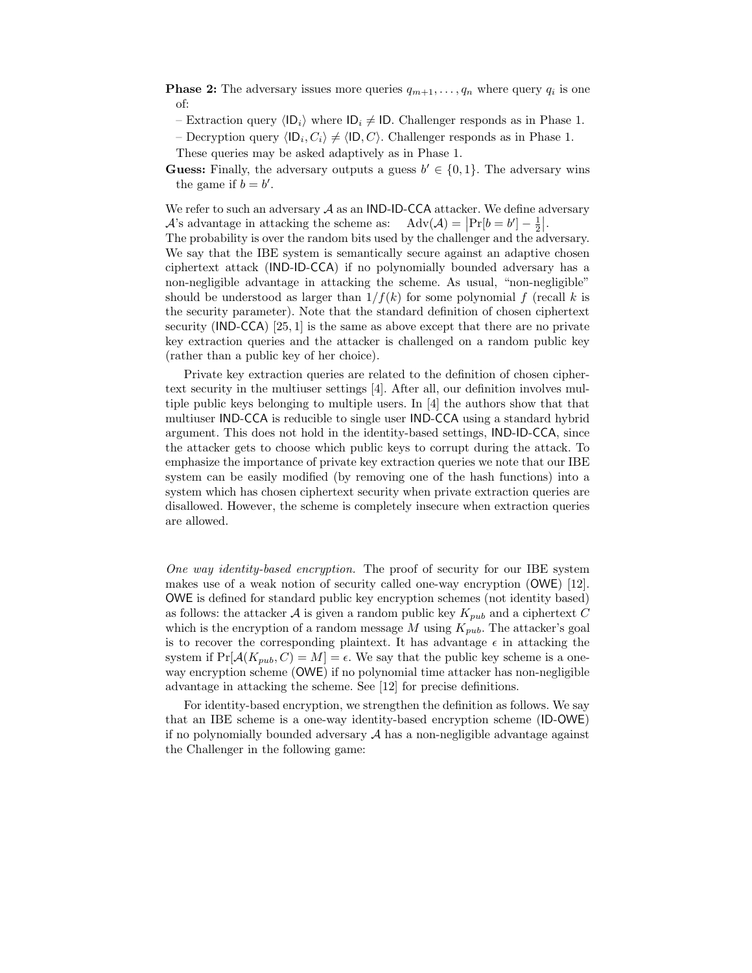**Phase 2:** The adversary issues more queries  $q_{m+1}, \ldots, q_n$  where query  $q_i$  is one of:

– Extraction query  $\langle \mathsf{ID}_i \rangle$  where  $\mathsf{ID}_i \neq \mathsf{ID}$ . Challenger responds as in Phase 1.

– Decryption query  $\langle \mathsf{ID}_i, C_i \rangle \neq \langle \mathsf{ID}, C \rangle$ . Challenger responds as in Phase 1.

These queries may be asked adaptively as in Phase 1.

**Guess:** Finally, the adversary outputs a guess  $b' \in \{0, 1\}$ . The adversary wins the game if  $b = b'$ .

We refer to such an adversary  $A$  as an IND-ID-CCA attacker. We define adversary  $A$ 's advantage in attacking the scheme as:  $\Pr[b = b'] - \frac{1}{2}$ .

The probability is over the random bits used by the challenger and the adversary. We say that the IBE system is semantically secure against an adaptive chosen ciphertext attack (IND-ID-CCA) if no polynomially bounded adversary has a non-negligible advantage in attacking the scheme. As usual, "non-negligible" should be understood as larger than  $1/f(k)$  for some polynomial f (recall k is the security parameter). Note that the standard definition of chosen ciphertext security  $(IND-CCA)$  [25, 1] is the same as above except that there are no private key extraction queries and the attacker is challenged on a random public key (rather than a public key of her choice).

Private key extraction queries are related to the definition of chosen ciphertext security in the multiuser settings [4]. After all, our definition involves multiple public keys belonging to multiple users. In [4] the authors show that that multiuser IND-CCA is reducible to single user IND-CCA using a standard hybrid argument. This does not hold in the identity-based settings, IND-ID-CCA, since the attacker gets to choose which public keys to corrupt during the attack. To emphasize the importance of private key extraction queries we note that our IBE system can be easily modified (by removing one of the hash functions) into a system which has chosen ciphertext security when private extraction queries are disallowed. However, the scheme is completely insecure when extraction queries are allowed.

One way identity-based encryption. The proof of security for our IBE system makes use of a weak notion of security called one-way encryption (OWE) [12]. OWE is defined for standard public key encryption schemes (not identity based) as follows: the attacker A is given a random public key  $K_{pub}$  and a ciphertext C which is the encryption of a random message M using  $K_{pub}$ . The attacker's goal is to recover the corresponding plaintext. It has advantage  $\epsilon$  in attacking the system if  $Pr[\mathcal{A}(K_{pub}, C) = M] = \epsilon$ . We say that the public key scheme is a oneway encryption scheme (OWE) if no polynomial time attacker has non-negligible advantage in attacking the scheme. See [12] for precise definitions.

For identity-based encryption, we strengthen the definition as follows. We say that an IBE scheme is a one-way identity-based encryption scheme (ID-OWE) if no polynomially bounded adversary  $A$  has a non-negligible advantage against the Challenger in the following game: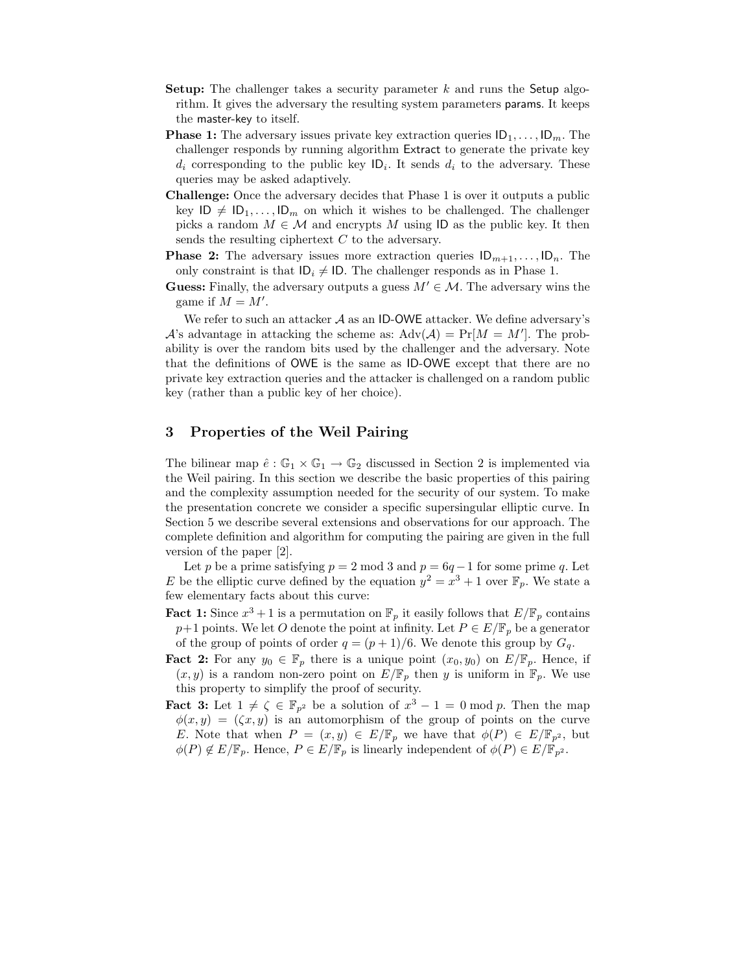- **Setup:** The challenger takes a security parameter  $k$  and runs the Setup algorithm. It gives the adversary the resulting system parameters params. It keeps the master-key to itself.
- **Phase 1:** The adversary issues private key extraction queries  $ID_1, \ldots, ID_m$ . The challenger responds by running algorithm Extract to generate the private key  $d_i$  corresponding to the public key  $\mathsf{ID}_i$ . It sends  $d_i$  to the adversary. These queries may be asked adaptively.
- Challenge: Once the adversary decides that Phase 1 is over it outputs a public key  $ID \neq ID_1, \ldots, ID_m$  on which it wishes to be challenged. The challenger picks a random  $M \in \mathcal{M}$  and encrypts M using ID as the public key. It then sends the resulting ciphertext  $C$  to the adversary.
- **Phase 2:** The adversary issues more extraction queries  $ID_{m+1}, \ldots, ID_n$ . The only constraint is that  $ID_i \neq ID$ . The challenger responds as in Phase 1.
- **Guess:** Finally, the adversary outputs a guess  $M' \in \mathcal{M}$ . The adversary wins the game if  $M = M'$ .

We refer to such an attacker  $A$  as an ID-OWE attacker. We define adversary's A's advantage in attacking the scheme as:  $\text{Adv}(\mathcal{A}) = \Pr[M = M']$ . The probability is over the random bits used by the challenger and the adversary. Note that the definitions of OWE is the same as ID-OWE except that there are no private key extraction queries and the attacker is challenged on a random public key (rather than a public key of her choice).

# 3 Properties of the Weil Pairing

The bilinear map  $\hat{e} : \mathbb{G}_1 \times \mathbb{G}_1 \to \mathbb{G}_2$  discussed in Section 2 is implemented via the Weil pairing. In this section we describe the basic properties of this pairing and the complexity assumption needed for the security of our system. To make the presentation concrete we consider a specific supersingular elliptic curve. In Section 5 we describe several extensions and observations for our approach. The complete definition and algorithm for computing the pairing are given in the full version of the paper [2].

Let p be a prime satisfying  $p = 2 \mod 3$  and  $p = 6q - 1$  for some prime q. Let E be the elliptic curve defined by the equation  $y^2 = x^3 + 1$  over  $\mathbb{F}_p$ . We state a few elementary facts about this curve:

- **Fact 1:** Since  $x^3 + 1$  is a permutation on  $\mathbb{F}_p$  it easily follows that  $E/\mathbb{F}_p$  contains  $p+1$  points. We let O denote the point at infinity. Let  $P \in E/\mathbb{F}_p$  be a generator of the group of points of order  $q = (p+1)/6$ . We denote this group by  $G_q$ .
- **Fact 2:** For any  $y_0 \in \mathbb{F}_p$  there is a unique point  $(x_0, y_0)$  on  $E/\mathbb{F}_p$ . Hence, if  $(x, y)$  is a random non-zero point on  $E/\mathbb{F}_p$  then y is uniform in  $\mathbb{F}_p$ . We use this property to simplify the proof of security.
- **Fact 3:** Let  $1 \neq \zeta \in \mathbb{F}_{p^2}$  be a solution of  $x^3 1 = 0 \text{ mod } p$ . Then the map  $\phi(x, y) = (\zeta x, y)$  is an automorphism of the group of points on the curve E. Note that when  $P = (x, y) \in E/\mathbb{F}_p$  we have that  $\phi(P) \in E/\mathbb{F}_{p^2}$ , but  $\phi(P) \notin E/\mathbb{F}_p$ . Hence,  $P \in E/\mathbb{F}_p$  is linearly independent of  $\phi(P) \in E/\mathbb{F}_p$ <sup>2</sup>.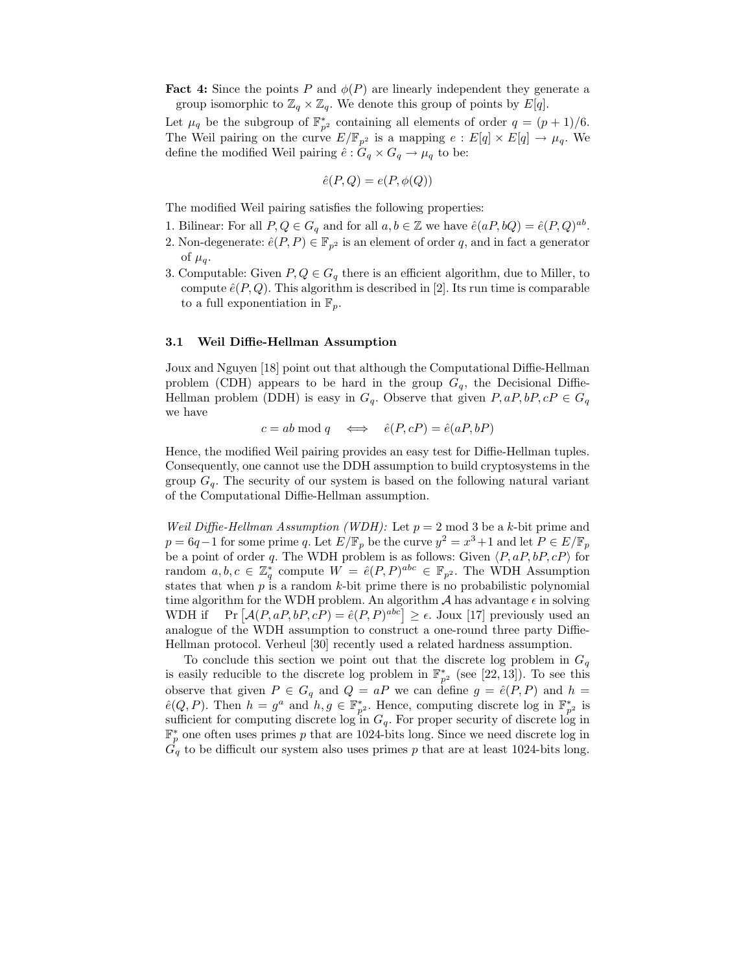**Fact 4:** Since the points P and  $\phi(P)$  are linearly independent they generate a group isomorphic to  $\mathbb{Z}_q \times \mathbb{Z}_q$ . We denote this group of points by  $E[q]$ .

Let  $\mu_q$  be the subgroup of  $\mathbb{F}_{p^2}^*$  containing all elements of order  $q = (p+1)/6$ . The Weil pairing on the curve  $E/\mathbb{F}_{p^2}$  is a mapping  $e: E[q] \times E[q] \to \mu_q$ . We define the modified Weil pairing  $\hat{e}: G_q \times G_q \to \mu_q$  to be:

$$
\hat{e}(P,Q) = e(P,\phi(Q))
$$

The modified Weil pairing satisfies the following properties:

- 1. Bilinear: For all  $P, Q \in G_q$  and for all  $a, b \in \mathbb{Z}$  we have  $\hat{e}(aP, bQ) = \hat{e}(P, Q)^{ab}$ .
- 2. Non-degenerate:  $\hat{e}(P, P) \in \mathbb{F}_{p^2}$  is an element of order q, and in fact a generator of  $\mu_a$ .
- 3. Computable: Given  $P, Q \in G_q$  there is an efficient algorithm, due to Miller, to compute  $\hat{e}(P,Q)$ . This algorithm is described in [2]. Its run time is comparable to a full exponentiation in  $\mathbb{F}_p$ .

#### 3.1 Weil Diffie-Hellman Assumption

Joux and Nguyen [18] point out that although the Computational Diffie-Hellman problem (CDH) appears to be hard in the group  $G_q$ , the Decisional Diffie-Hellman problem (DDH) is easy in  $G_q$ . Observe that given  $P, aP, bP, cP \in G_q$ we have

$$
c = ab \mod q \iff \hat{e}(P, cP) = \hat{e}(aP, bP)
$$

Hence, the modified Weil pairing provides an easy test for Diffie-Hellman tuples. Consequently, one cannot use the DDH assumption to build cryptosystems in the group  $G_q$ . The security of our system is based on the following natural variant of the Computational Diffie-Hellman assumption.

Weil Diffie-Hellman Assumption (WDH): Let  $p = 2 \text{ mod } 3$  be a k-bit prime and  $p = 6q - 1$  for some prime q. Let  $E/\mathbb{F}_p$  be the curve  $y^2 = x^3 + 1$  and let  $P \in E/\mathbb{F}_p$ be a point of order q. The WDH problem is as follows: Given  $\langle P, aP, bP, cP \rangle$  for random  $a, b, c \in \mathbb{Z}_q^*$  compute  $W = \hat{e}(P, P)^{abc} \in \mathbb{F}_{p^2}$ . The WDH Assumption states that when  $p$  is a random  $k$ -bit prime there is no probabilistic polynomial time algorithm for the WDH problem. An algorithm  $A$  has advantage  $\epsilon$  in solving WDH if  $\mathcal{A}(P, aP, bP, cP) = \hat{e}(P, P)^{abc} \geq \epsilon$ . Joux [17] previously used an analogue of the WDH assumption to construct a one-round three party Diffie-Hellman protocol. Verheul [30] recently used a related hardness assumption.

To conclude this section we point out that the discrete log problem in  $G_q$ is easily reducible to the discrete log problem in  $\mathbb{F}_{p^2}^*$  (see [22, 13]). To see this observe that given  $P \in G_q$  and  $Q = aP$  we can define  $g = \hat{e}(P, P)$  and  $h =$  $\hat{e}(Q, P)$ . Then  $h = g^a$  and  $h, g \in \mathbb{F}_{p^2}^*$ . Hence, computing discrete log in  $\mathbb{F}_{p^2}^*$  is sufficient for computing discrete log in  $G_q$ . For proper security of discrete log in  $\mathbb{F}_p^*$  one often uses primes  $p$  that are 1024-bits long. Since we need discrete log in  $G_q$  to be difficult our system also uses primes p that are at least 1024-bits long.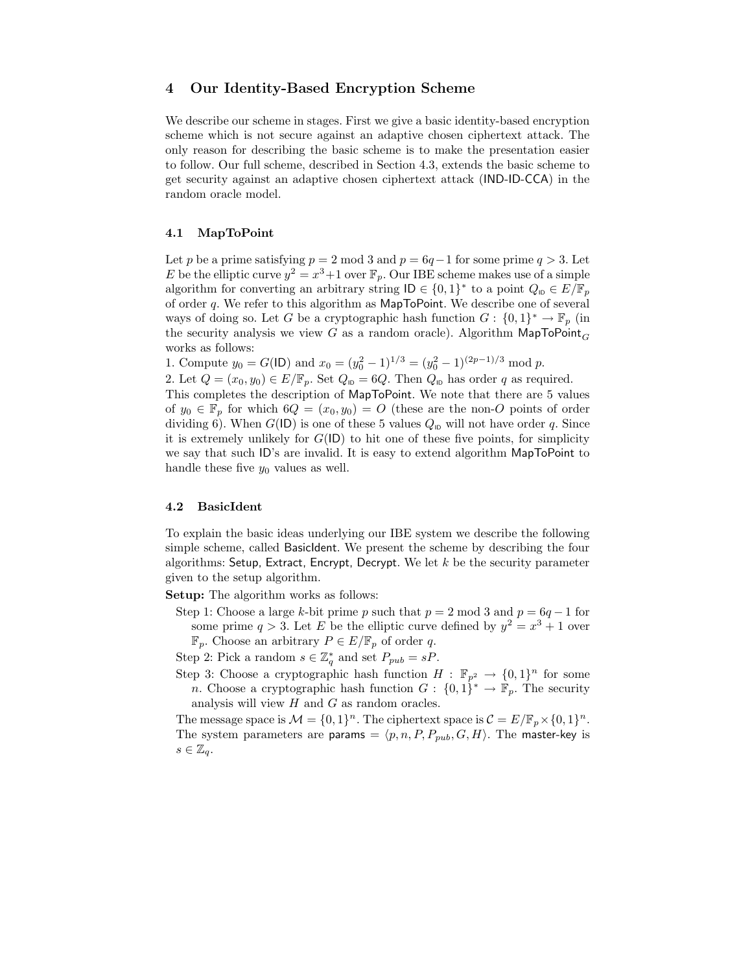### 4 Our Identity-Based Encryption Scheme

We describe our scheme in stages. First we give a basic identity-based encryption scheme which is not secure against an adaptive chosen ciphertext attack. The only reason for describing the basic scheme is to make the presentation easier to follow. Our full scheme, described in Section 4.3, extends the basic scheme to get security against an adaptive chosen ciphertext attack (IND-ID-CCA) in the random oracle model.

#### 4.1 MapToPoint

Let p be a prime satisfying  $p = 2 \mod 3$  and  $p = 6q - 1$  for some prime  $q > 3$ . Let E be the elliptic curve  $y^2 = x^3 + 1$  over  $\mathbb{F}_p$ . Our IBE scheme makes use of a simple algorithm for converting an arbitrary string  $\mathsf{ID} \in \{0,1\}^*$  to a point  $Q_{\mathsf{ID}} \in E/\mathbb{F}_p$ of order q. We refer to this algorithm as MapToPoint. We describe one of several ways of doing so. Let G be a cryptographic hash function  $G: \{0,1\}^* \to \mathbb{F}_p$  (in the security analysis we view G as a random oracle). Algorithm  $\mathsf{MapToPoint}_G$ works as follows:

1. Compute  $y_0 = G(\mathsf{ID})$  and  $x_0 = (y_0^2 - 1)^{1/3} = (y_0^2 - 1)^{(2p-1)/3} \mod p$ .

2. Let  $Q = (x_0, y_0) \in E/\mathbb{F}_p$ . Set  $Q_{\mathbb{D}} = 6Q$ . Then  $Q_{\mathbb{D}}$  has order q as required. This completes the description of MapToPoint. We note that there are 5 values of  $y_0 \in \mathbb{F}_p$  for which  $6Q = (x_0, y_0) = O$  (these are the non-O points of order dividing 6). When  $G(\mathsf{ID})$  is one of these 5 values  $Q_{\mathsf{ID}}$  will not have order q. Since it is extremely unlikely for  $G(\mathsf{ID})$  to hit one of these five points, for simplicity we say that such ID's are invalid. It is easy to extend algorithm MapToPoint to handle these five  $y_0$  values as well.

#### 4.2 BasicIdent

To explain the basic ideas underlying our IBE system we describe the following simple scheme, called BasicIdent. We present the scheme by describing the four algorithms: Setup, Extract, Encrypt, Decrypt. We let  $k$  be the security parameter given to the setup algorithm.

Setup: The algorithm works as follows:

Step 1: Choose a large k-bit prime p such that  $p = 2 \text{ mod } 3$  and  $p = 6q - 1$  for some prime  $q > 3$ . Let E be the elliptic curve defined by  $y^2 = x^3 + 1$  over  $\mathbb{F}_p$ . Choose an arbitrary  $P \in E / \mathbb{F}_p$  of order q.

Step 2: Pick a random  $s \in \mathbb{Z}_q^*$  and set  $P_{pub} = sP$ .

Step 3: Choose a cryptographic hash function  $H: \mathbb{F}_{p^2} \to \{0,1\}^n$  for some *n*. Choose a cryptographic hash function  $G: \{0,1\}^* \to \mathbb{F}_p$ . The security analysis will view  $H$  and  $G$  as random oracles.

The message space is  $\mathcal{M} = \{0, 1\}^n$ . The ciphertext space is  $\mathcal{C} = E/\mathbb{F}_p \times \{0, 1\}^n$ . The system parameters are params =  $\langle p, n, P, P_{pub}, G, H \rangle$ . The master-key is  $s \in \mathbb{Z}_q$ .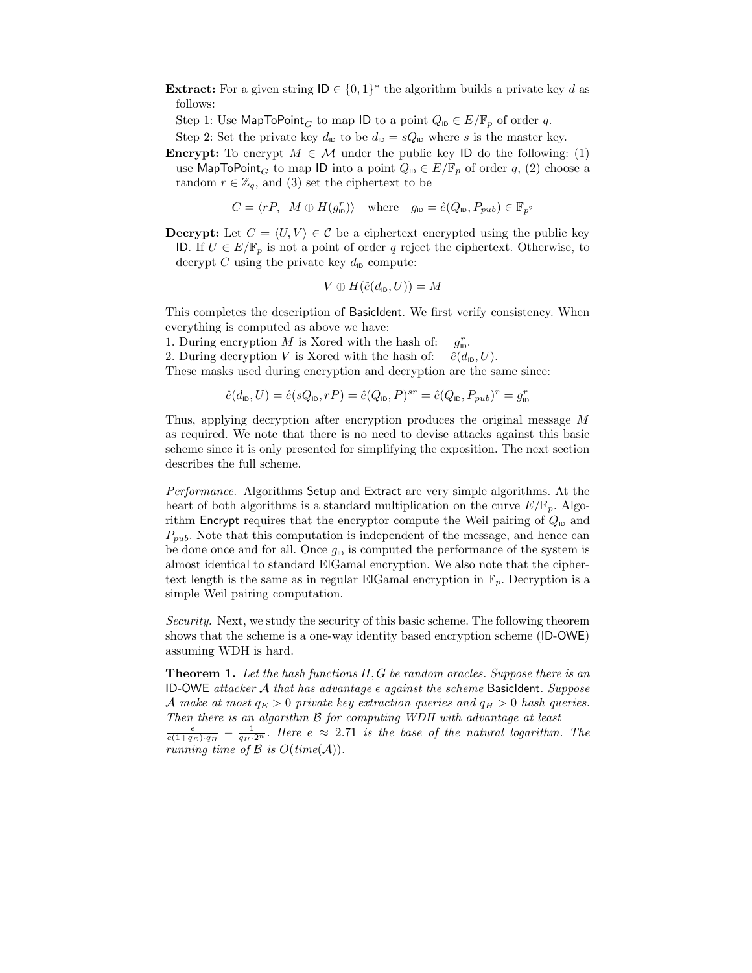**Extract:** For a given string  $\mathsf{ID} \in \{0,1\}^*$  the algorithm builds a private key d as follows:

Step 1: Use MapToPoint<sub>G</sub> to map ID to a point  $Q_{\text{ID}} \in E/\mathbb{F}_p$  of order q.

- Step 2: Set the private key  $d_{\text{ID}}$  to be  $d_{\text{ID}} = sQ_{\text{ID}}$  where s is the master key.
- **Encrypt:** To encrypt  $M \in \mathcal{M}$  under the public key ID do the following: (1) use MapToPoint<sub>G</sub> to map ID into a point  $Q_{\mathbb{D}} \in E/\mathbb{F}_p$  of order q, (2) choose a random  $r \in \mathbb{Z}_q$ , and (3) set the ciphertext to be

$$
C = \langle rP, M \oplus H(g_{\text{ID}}^{r}) \rangle \quad \text{where} \quad g_{\text{ID}} = \hat{e}(Q_{\text{ID}}, P_{pub}) \in \mathbb{F}_{p^{2}}
$$

**Decrypt:** Let  $C = \langle U, V \rangle \in \mathcal{C}$  be a ciphertext encrypted using the public key ID. If  $U \in E/\mathbb{F}_p$  is not a point of order q reject the ciphertext. Otherwise, to decrypt C using the private key  $d_{\text{ID}}$  compute:

$$
V \oplus H(\hat{e}(d_{\text{ID}}, U)) = M
$$

This completes the description of BasicIdent. We first verify consistency. When everything is computed as above we have:

1. During encryption  $M$  is Xored with the hash of: r ID.

2. During decryption V is Xored with the hash of:  $\hat{e}(d_{\text{ID}},U)$ .

These masks used during encryption and decryption are the same since:

$$
\hat{e}(d_{\text{ID}}, U) = \hat{e}(sQ_{\text{ID}}, rP) = \hat{e}(Q_{\text{ID}}, P)^{sr} = \hat{e}(Q_{\text{ID}}, P_{pub})^r = g_{\text{ID}}^r
$$

Thus, applying decryption after encryption produces the original message M as required. We note that there is no need to devise attacks against this basic scheme since it is only presented for simplifying the exposition. The next section describes the full scheme.

Performance. Algorithms Setup and Extract are very simple algorithms. At the heart of both algorithms is a standard multiplication on the curve  $E/\mathbb{F}_p$ . Algorithm Encrypt requires that the encryptor compute the Weil pairing of  $Q_{\text{ID}}$  and  $P_{pub}$ . Note that this computation is independent of the message, and hence can be done once and for all. Once  $g_{\text{ID}}$  is computed the performance of the system is almost identical to standard ElGamal encryption. We also note that the ciphertext length is the same as in regular ElGamal encryption in  $\mathbb{F}_p$ . Decryption is a simple Weil pairing computation.

Security. Next, we study the security of this basic scheme. The following theorem shows that the scheme is a one-way identity based encryption scheme (ID-OWE) assuming WDH is hard.

**Theorem 1.** Let the hash functions  $H, G$  be random oracles. Suppose there is an ID-OWE attacker A that has advantage  $\epsilon$  against the scheme BasicIdent. Suppose A make at most  $q_E > 0$  private key extraction queries and  $q_H > 0$  hash queries. Then there is an algorithm  $\beta$  for computing WDH with advantage at least

 $\frac{\epsilon}{e(1+q_E)\cdot q_H} - \frac{1}{q_H\cdot 2^n}$ . Here  $e \approx 2.71$  is the base of the natural logarithm. The running time of  $\mathcal B$  is  $O(\text{time}(\mathcal A)).$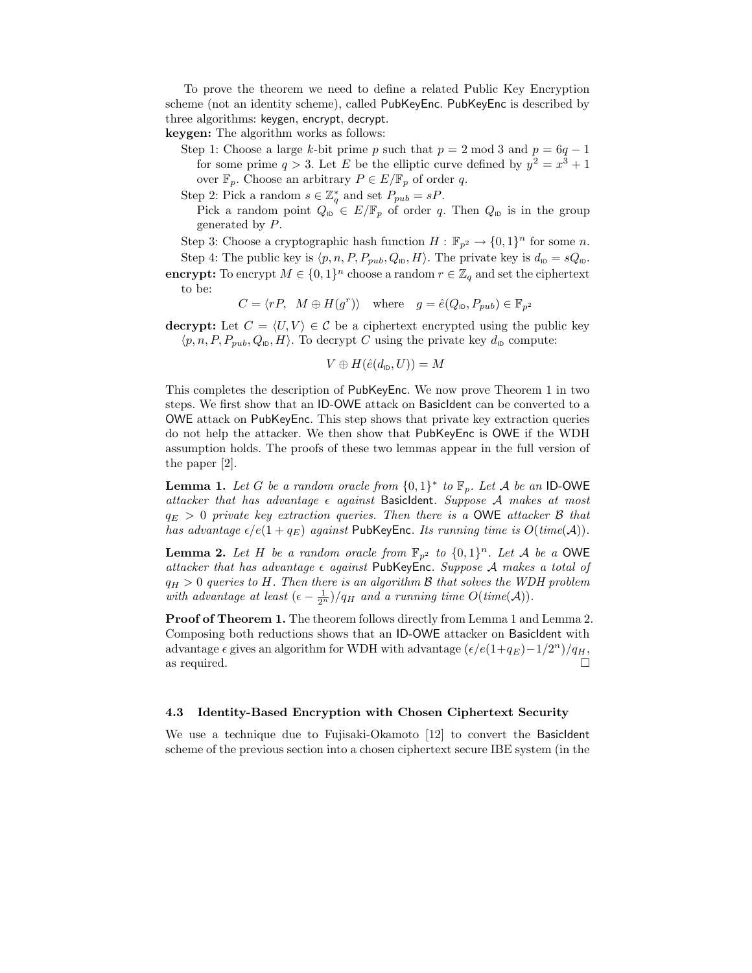To prove the theorem we need to define a related Public Key Encryption scheme (not an identity scheme), called PubKeyEnc. PubKeyEnc is described by three algorithms: keygen, encrypt, decrypt.

keygen: The algorithm works as follows:

Step 1: Choose a large k-bit prime p such that  $p = 2 \text{ mod } 3$  and  $p = 6q - 1$ for some prime  $q > 3$ . Let E be the elliptic curve defined by  $y^2 = x^3 + 1$ over  $\mathbb{F}_p$ . Choose an arbitrary  $P \in E/\mathbb{F}_p$  of order q.

Step 2: Pick a random  $s \in \mathbb{Z}_q^*$  and set  $P_{pub} = sP$ .

Pick a random point  $Q_{\text{ID}} \in E/\mathbb{F}_p$  of order q. Then  $Q_{\text{ID}}$  is in the group generated by P.

Step 3: Choose a cryptographic hash function  $H: \mathbb{F}_{p^2} \to \{0,1\}^n$  for some n.

Step 4: The public key is  $\langle p, n, P, P_{pub}, Q_{\text{ID}}, H \rangle$ . The private key is  $d_{\text{ID}} = sQ_{\text{ID}}$ . encrypt: To encrypt  $M \in \{0,1\}^n$  choose a random  $r \in \mathbb{Z}_q$  and set the ciphertext

to be:

$$
C = \langle rP, M \oplus H(g^r) \rangle \quad \text{where} \quad g = \hat{e}(Q_{\mathbb{D}}, P_{pub}) \in \mathbb{F}_{p^2}
$$

decrypt: Let  $C = \langle U, V \rangle \in \mathcal{C}$  be a ciphertext encrypted using the public key  $\langle p, n, P, P_{pub}, Q_{\text{ID}}, H \rangle$ . To decrypt C using the private key  $d_{\text{ID}}$  compute:

 $V \oplus H(\hat{e}(d_{\text{ID}},U)) = M$ 

This completes the description of PubKeyEnc. We now prove Theorem 1 in two steps. We first show that an ID-OWE attack on BasicIdent can be converted to a OWE attack on PubKeyEnc. This step shows that private key extraction queries do not help the attacker. We then show that PubKeyEnc is OWE if the WDH assumption holds. The proofs of these two lemmas appear in the full version of the paper [2].

**Lemma 1.** Let G be a random oracle from  $\{0,1\}^*$  to  $\mathbb{F}_p$ . Let A be an ID-OWE attacker that has advantage  $\epsilon$  against BasicIdent. Suppose A makes at most  $q_E > 0$  private key extraction queries. Then there is a OWE attacker B that has advantage  $\epsilon/e(1+q_E)$  against PubKeyEnc. Its running time is  $O(time(A)).$ 

**Lemma 2.** Let H be a random oracle from  $\mathbb{F}_{p^2}$  to  $\{0,1\}^n$ . Let A be a OWE attacker that has advantage  $\epsilon$  against PubKeyEnc. Suppose A makes a total of  $q_H > 0$  queries to H. Then there is an algorithm B that solves the WDH problem with advantage at least  $(\epsilon - \frac{1}{2^n})/q_H$  and a running time  $O(\text{time}(\mathcal{A}))$ .

Proof of Theorem 1. The theorem follows directly from Lemma 1 and Lemma 2. Composing both reductions shows that an ID-OWE attacker on BasicIdent with advantage  $\epsilon$  gives an algorithm for WDH with advantage  $(\epsilon/e(1+q_E)-1/2^n)/q_H$ , as required.  $\Box$ 

#### 4.3 Identity-Based Encryption with Chosen Ciphertext Security

We use a technique due to Fujisaki-Okamoto [12] to convert the BasicIdent scheme of the previous section into a chosen ciphertext secure IBE system (in the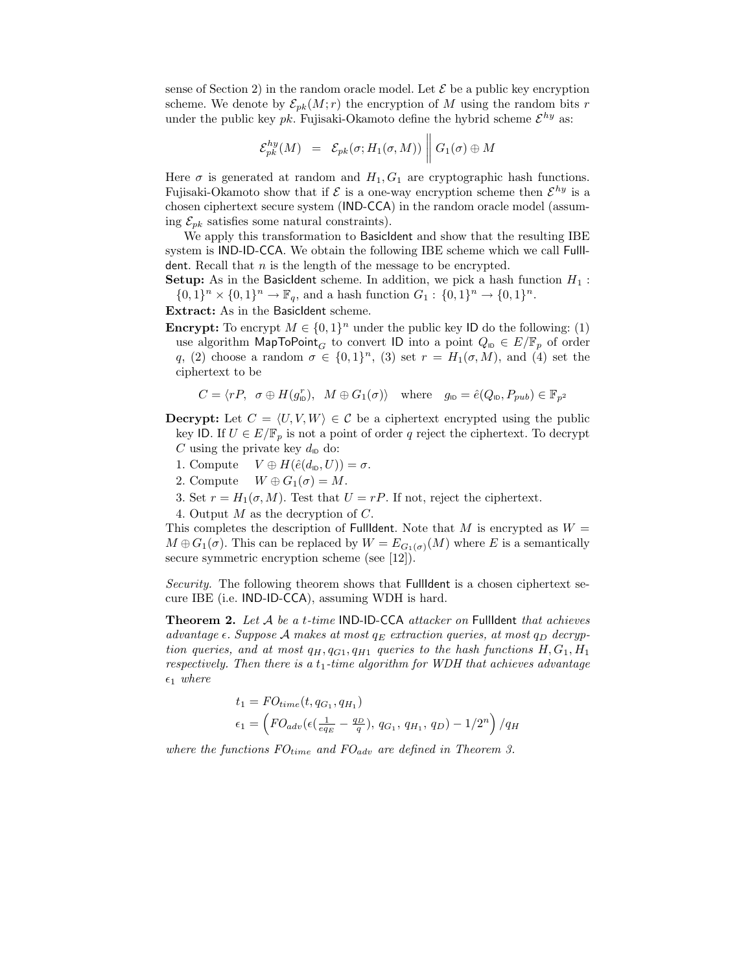sense of Section 2) in the random oracle model. Let  $\mathcal E$  be a public key encryption scheme. We denote by  $\mathcal{E}_{pk}(M;r)$  the encryption of M using the random bits r under the public key  $pk$ . Fujisaki-Okamoto define the hybrid scheme  $\mathcal{E}^{hy}$  as:

$$
\mathcal{E}_{pk}^{hy}(M) = \mathcal{E}_{pk}(\sigma; H_1(\sigma, M)) \parallel G_1(\sigma) \oplus M
$$

Here  $\sigma$  is generated at random and  $H_1, G_1$  are cryptographic hash functions. Fujisaki-Okamoto show that if  $\mathcal E$  is a one-way encryption scheme then  $\mathcal E^{hy}$  is a chosen ciphertext secure system (IND-CCA) in the random oracle model (assuming  $\mathcal{E}_{pk}$  satisfies some natural constraints).

We apply this transformation to BasicIdent and show that the resulting IBE system is IND-ID-CCA. We obtain the following IBE scheme which we call FullIdent. Recall that  $n$  is the length of the message to be encrypted.

**Setup:** As in the Basiclent scheme. In addition, we pick a hash function  $H_1$ :  $\{0,1\}^n \times \{0,1\}^n \to \mathbb{F}_q$ , and a hash function  $G_1: \{0,1\}^n \to \{0,1\}^n$ .

Extract: As in the BasicIdent scheme.

**Encrypt:** To encrypt  $M \in \{0,1\}^n$  under the public key ID do the following: (1) use algorithm MapToPoint<sub>G</sub> to convert ID into a point  $Q_{\text{ID}} \in E/\mathbb{F}_p$  of order q, (2) choose a random  $\sigma \in \{0,1\}^n$ , (3) set  $r = H_1(\sigma, M)$ , and (4) set the ciphertext to be

$$
C = \langle rP, \sigma \oplus H(g_{\mathsf{ID}}^r), M \oplus G_1(\sigma) \rangle \quad \text{where} \quad g_{\mathsf{ID}} = \hat{e}(Q_{\mathsf{ID}}, P_{pub}) \in \mathbb{F}_{p^2}
$$

- **Decrypt:** Let  $C = \langle U, V, W \rangle \in C$  be a ciphertext encrypted using the public key ID. If  $U \in E/\mathbb{F}_p$  is not a point of order q reject the ciphertext. To decrypt C using the private key  $d_{\text{ID}}$  do:
	- 1. Compute  $V \oplus H(\hat{e}(d_{\text{ID}}, U)) = \sigma$ .
	- 2. Compute  $W \oplus G_1(\sigma) = M$ .
	- 3. Set  $r = H_1(\sigma, M)$ . Test that  $U = rP$ . If not, reject the ciphertext.
	- 4. Output M as the decryption of C.

This completes the description of FullIdent. Note that M is encrypted as  $W =$  $M \oplus G_1(\sigma)$ . This can be replaced by  $W = E_{G_1(\sigma)}(M)$  where E is a semantically secure symmetric encryption scheme (see [12]).

Security. The following theorem shows that FullIdent is a chosen ciphertext secure IBE (i.e. IND-ID-CCA), assuming WDH is hard.

Theorem 2. Let A be a t-time IND-ID-CCA attacker on FullIdent that achieves advantage  $\epsilon$ . Suppose A makes at most  $q_E$  extraction queries, at most  $q_D$  decryption queries, and at most  $q_H, q_{G1}, q_{H1}$  queries to the hash functions  $H, G_1, H_1$ respectively. Then there is a  $t_1$ -time algorithm for WDH that achieves advantage  $\epsilon_1$  where

$$
t_1 = FO_{time}(t, q_{G_1}, q_{H_1})
$$
  
\n
$$
\epsilon_1 = \left( FO_{adv}(\epsilon(\frac{1}{eq_E} - \frac{q_D}{q}), q_{G_1}, q_{H_1}, q_D) - 1/2^n \right) / q_H
$$

where the functions  $FO_{time}$  and  $FO_{adv}$  are defined in Theorem 3.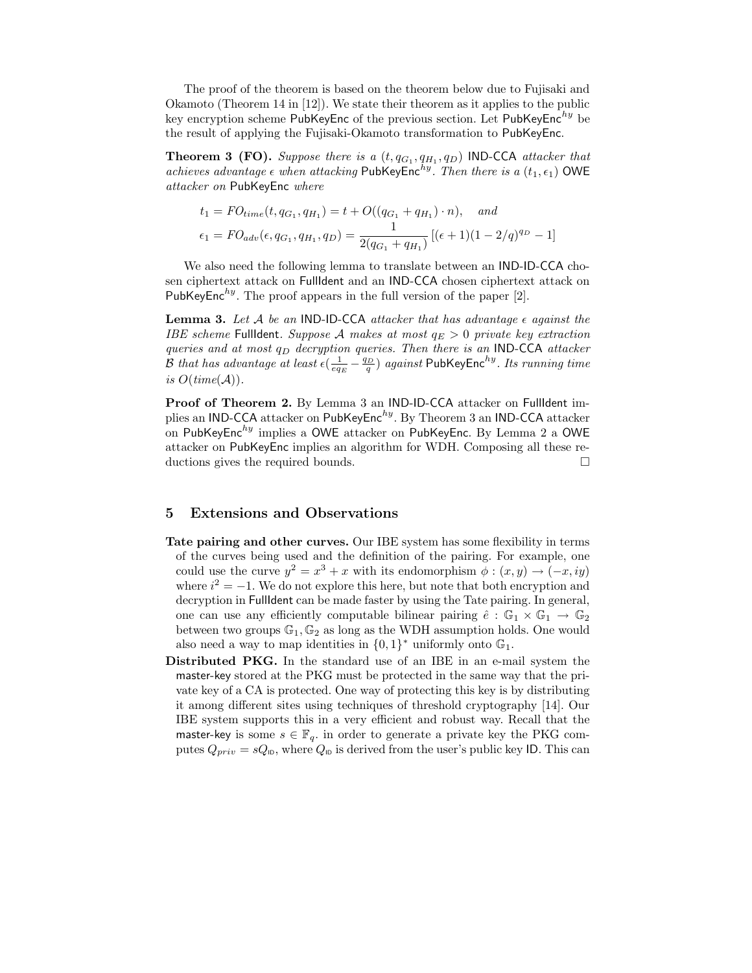The proof of the theorem is based on the theorem below due to Fujisaki and Okamoto (Theorem 14 in [12]). We state their theorem as it applies to the public key encryption scheme PubKeyEnc of the previous section. Let  $\mathsf{PubKeyEnc}^{hy}$  be the result of applying the Fujisaki-Okamoto transformation to PubKeyEnc.

**Theorem 3 (FO).** Suppose there is a  $(t, q_{G_1}, q_{H_1}, q_D)$  IND-CCA attacker that achieves advantage  $\epsilon$  when attacking PubKeyEnc<sup>hy</sup>. Then there is a  $(t_1, \epsilon_1)$  OWE attacker on PubKeyEnc where

$$
t_1 = FO_{time}(t, q_{G_1}, q_{H_1}) = t + O((q_{G_1} + q_{H_1}) \cdot n), \quad and
$$
  

$$
\epsilon_1 = FO_{adv}(\epsilon, q_{G_1}, q_{H_1}, q_D) = \frac{1}{2(q_{G_1} + q_{H_1})} [(\epsilon + 1)(1 - 2/q)^{q_D} - 1]
$$

We also need the following lemma to translate between an **IND-ID-CCA** chosen ciphertext attack on FullIdent and an IND-CCA chosen ciphertext attack on PubKeyEnc<sup>hy</sup>. The proof appears in the full version of the paper [2].

**Lemma 3.** Let A be an IND-ID-CCA attacker that has advantage  $\epsilon$  against the IBE scheme FullIdent. Suppose A makes at most  $q_E > 0$  private key extraction queries and at most  $q_D$  decryption queries. Then there is an IND-CCA attacker  ${\cal B}$  that has advantage at least  $\epsilon(\frac{1}{eq_E}-\frac{q_D}{q})$  against <code>PubKeyEnc $^{hy}$ . Its running time</code> is  $O(\text{time}(\mathcal{A}))$ .

Proof of Theorem 2. By Lemma 3 an IND-ID-CCA attacker on FullIdent implies an IND-CCA attacker on PubKeyEnc $^{hy}$ . By Theorem 3 an IND-CCA attacker on PubKeyEnc $^{hy}$  implies a OWE attacker on PubKeyEnc. By Lemma 2 a OWE attacker on PubKeyEnc implies an algorithm for WDH. Composing all these reductions gives the required bounds.

### 5 Extensions and Observations

- Tate pairing and other curves. Our IBE system has some flexibility in terms of the curves being used and the definition of the pairing. For example, one could use the curve  $y^2 = x^3 + x$  with its endomorphism  $\phi : (x, y) \to (-x, iy)$ where  $i^2 = -1$ . We do not explore this here, but note that both encryption and decryption in Fulldent can be made faster by using the Tate pairing. In general, one can use any efficiently computable bilinear pairing  $\hat{e}$ :  $\mathbb{G}_1 \times \mathbb{G}_1 \to \mathbb{G}_2$ between two groups  $\mathbb{G}_1$ ,  $\mathbb{G}_2$  as long as the WDH assumption holds. One would also need a way to map identities in  $\{0,1\}^*$  uniformly onto  $\mathbb{G}_1$ .
- Distributed PKG. In the standard use of an IBE in an e-mail system the master-key stored at the PKG must be protected in the same way that the private key of a CA is protected. One way of protecting this key is by distributing it among different sites using techniques of threshold cryptography [14]. Our IBE system supports this in a very efficient and robust way. Recall that the master-key is some  $s \in \mathbb{F}_q$  in order to generate a private key the PKG computes  $Q_{priv} = sQ_{\text{ID}}$ , where  $Q_{\text{ID}}$  is derived from the user's public key ID. This can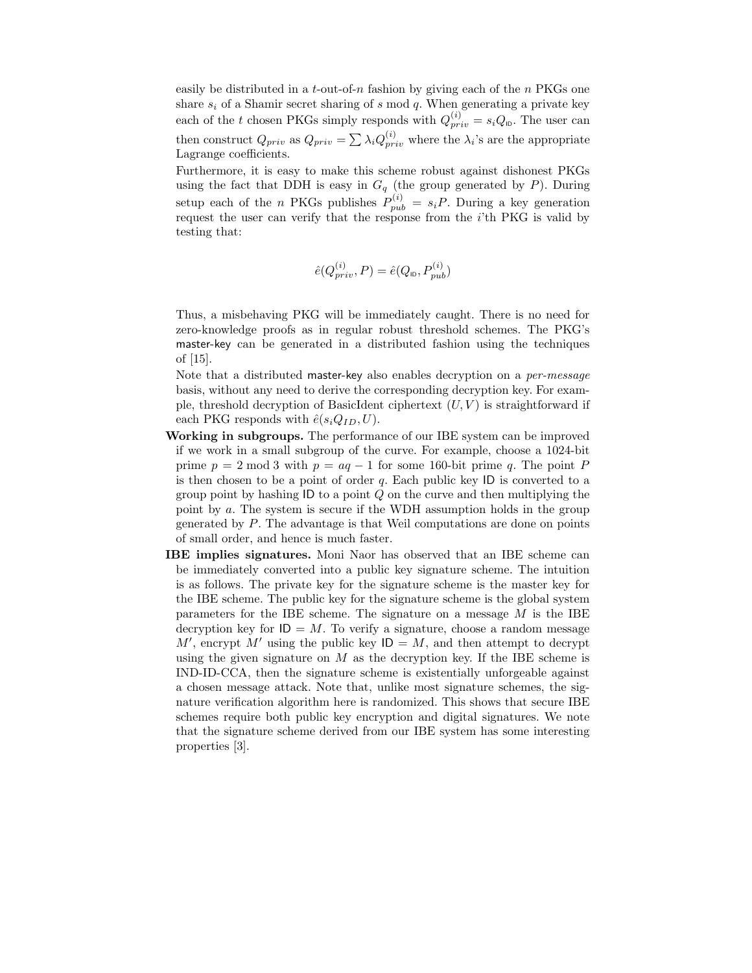easily be distributed in a t-out-of-n fashion by giving each of the n PKGs one share  $s_i$  of a Shamir secret sharing of s mod q. When generating a private key each of the t chosen PKGs simply responds with  $Q_{priv}^{(i)} = s_i Q_{ID}$ . The user can then construct  $Q_{priv}$  as  $Q_{priv} = \sum \lambda_i Q_{priv}^{(i)}$  where the  $\lambda_i$ 's are the appropriate Lagrange coefficients.

Furthermore, it is easy to make this scheme robust against dishonest PKGs using the fact that DDH is easy in  $G_q$  (the group generated by P). During setup each of the *n* PKGs publishes  $P_{pub}^{(i)} = s_i P$ . During a key generation request the user can verify that the response from the i'th PKG is valid by testing that:

$$
\hat{e}(Q_{priv}^{(i)}, P) = \hat{e}(Q_{\text{ID}}, P_{pub}^{(i)})
$$

Thus, a misbehaving PKG will be immediately caught. There is no need for zero-knowledge proofs as in regular robust threshold schemes. The PKG's master-key can be generated in a distributed fashion using the techniques of [15].

Note that a distributed master-key also enables decryption on a per-message basis, without any need to derive the corresponding decryption key. For example, threshold decryption of BasicIdent ciphertext  $(U, V)$  is straightforward if each PKG responds with  $\hat{e}(s_iQ_{ID},U)$ .

- Working in subgroups. The performance of our IBE system can be improved if we work in a small subgroup of the curve. For example, choose a 1024-bit prime  $p = 2 \text{ mod } 3$  with  $p = aq - 1$  for some 160-bit prime q. The point P is then chosen to be a point of order  $q$ . Each public key  $|D|$  is converted to a group point by hashing  $|D \text{ to a point } Q$  on the curve and then multiplying the point by a. The system is secure if the WDH assumption holds in the group generated by P. The advantage is that Weil computations are done on points of small order, and hence is much faster.
- IBE implies signatures. Moni Naor has observed that an IBE scheme can be immediately converted into a public key signature scheme. The intuition is as follows. The private key for the signature scheme is the master key for the IBE scheme. The public key for the signature scheme is the global system parameters for the IBE scheme. The signature on a message  $M$  is the IBE decryption key for  $ID = M$ . To verify a signature, choose a random message M', encrypt M' using the public key  $ID = M$ , and then attempt to decrypt using the given signature on  $M$  as the decryption key. If the IBE scheme is IND-ID-CCA, then the signature scheme is existentially unforgeable against a chosen message attack. Note that, unlike most signature schemes, the signature verification algorithm here is randomized. This shows that secure IBE schemes require both public key encryption and digital signatures. We note that the signature scheme derived from our IBE system has some interesting properties [3].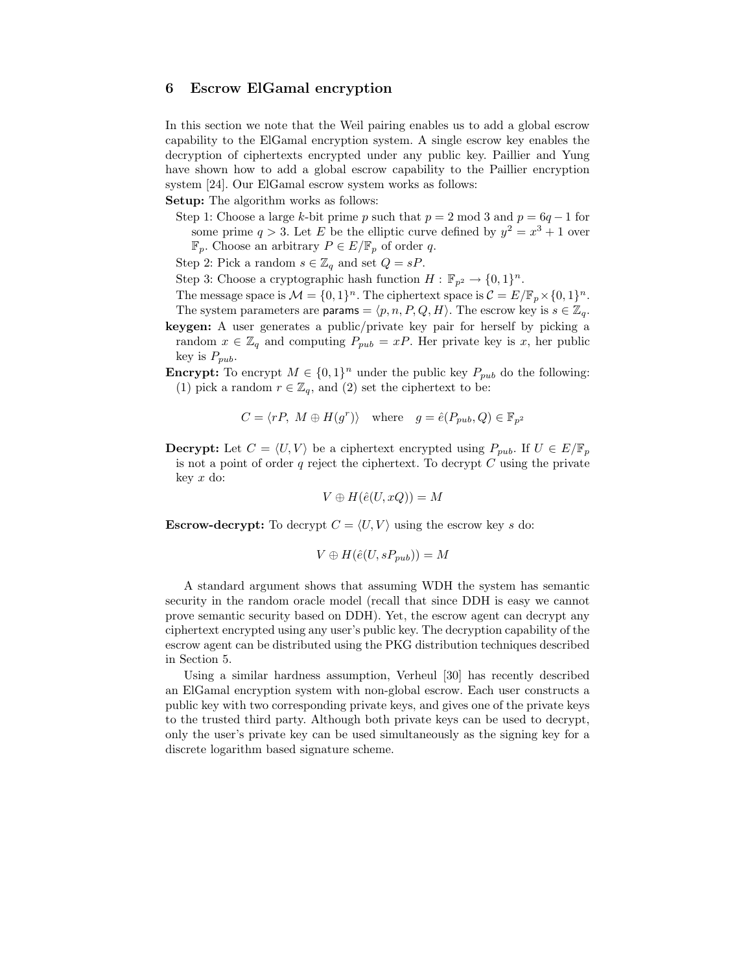### 6 Escrow ElGamal encryption

In this section we note that the Weil pairing enables us to add a global escrow capability to the ElGamal encryption system. A single escrow key enables the decryption of ciphertexts encrypted under any public key. Paillier and Yung have shown how to add a global escrow capability to the Paillier encryption system [24]. Our ElGamal escrow system works as follows:

Setup: The algorithm works as follows:

Step 1: Choose a large k-bit prime p such that  $p = 2 \text{ mod } 3$  and  $p = 6q - 1$  for some prime  $q > 3$ . Let E be the elliptic curve defined by  $y^2 = x^3 + 1$  over  $\mathbb{F}_p$ . Choose an arbitrary  $P \in E/\mathbb{F}_p$  of order q.

Step 2: Pick a random  $s \in \mathbb{Z}_q$  and set  $Q = sP$ .

Step 3: Choose a cryptographic hash function  $H: \mathbb{F}_{p^2} \to \{0,1\}^n$ .

The message space is  $\mathcal{M} = \{0, 1\}^n$ . The ciphertext space is  $\mathcal{C} = E/\mathbb{F}_p \times \{0, 1\}^n$ . The system parameters are params =  $\langle p, n, P, Q, H \rangle$ . The escrow key is  $s \in \mathbb{Z}_q$ .

- keygen: A user generates a public/private key pair for herself by picking a random  $x \in \mathbb{Z}_q$  and computing  $P_{pub} = xP$ . Her private key is x, her public key is  $P_{pub}$ .
- **Encrypt:** To encrypt  $M \in \{0,1\}^n$  under the public key  $P_{pub}$  do the following: (1) pick a random  $r \in \mathbb{Z}_q$ , and (2) set the ciphertext to be:

$$
C = \langle rP, M \oplus H(g^r) \rangle \quad \text{where} \quad g = \hat{e}(P_{pub}, Q) \in \mathbb{F}_{p^2}
$$

**Decrypt:** Let  $C = \langle U, V \rangle$  be a ciphertext encrypted using  $P_{pub}$ . If  $U \in E/\mathbb{F}_p$ is not a point of order  $q$  reject the ciphertext. To decrypt  $C$  using the private key  $x$  do:

$$
V \oplus H(\hat{e}(U, xQ)) = M
$$

**Escrow-decrypt:** To decrypt  $C = \langle U, V \rangle$  using the escrow key s do:

$$
V \oplus H(\hat{e}(U,sP_{pub})) = M
$$

A standard argument shows that assuming WDH the system has semantic security in the random oracle model (recall that since DDH is easy we cannot prove semantic security based on DDH). Yet, the escrow agent can decrypt any ciphertext encrypted using any user's public key. The decryption capability of the escrow agent can be distributed using the PKG distribution techniques described in Section 5.

Using a similar hardness assumption, Verheul [30] has recently described an ElGamal encryption system with non-global escrow. Each user constructs a public key with two corresponding private keys, and gives one of the private keys to the trusted third party. Although both private keys can be used to decrypt, only the user's private key can be used simultaneously as the signing key for a discrete logarithm based signature scheme.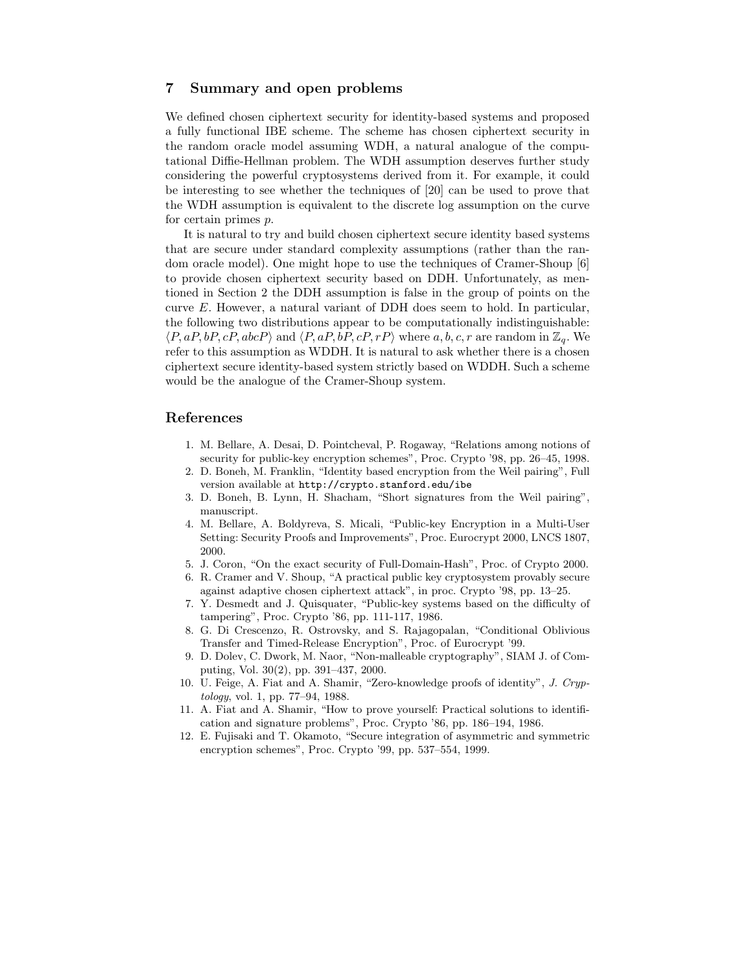### 7 Summary and open problems

We defined chosen ciphertext security for identity-based systems and proposed a fully functional IBE scheme. The scheme has chosen ciphertext security in the random oracle model assuming WDH, a natural analogue of the computational Diffie-Hellman problem. The WDH assumption deserves further study considering the powerful cryptosystems derived from it. For example, it could be interesting to see whether the techniques of [20] can be used to prove that the WDH assumption is equivalent to the discrete log assumption on the curve for certain primes p.

It is natural to try and build chosen ciphertext secure identity based systems that are secure under standard complexity assumptions (rather than the random oracle model). One might hope to use the techniques of Cramer-Shoup [6] to provide chosen ciphertext security based on DDH. Unfortunately, as mentioned in Section 2 the DDH assumption is false in the group of points on the curve E. However, a natural variant of DDH does seem to hold. In particular, the following two distributions appear to be computationally indistinguishable:  $\langle P, aP, bP, cP, abcP \rangle$  and  $\langle P, aP, bP, cP, rP \rangle$  where a, b, c, r are random in  $\mathbb{Z}_q$ . We refer to this assumption as WDDH. It is natural to ask whether there is a chosen ciphertext secure identity-based system strictly based on WDDH. Such a scheme would be the analogue of the Cramer-Shoup system.

### References

- 1. M. Bellare, A. Desai, D. Pointcheval, P. Rogaway, "Relations among notions of security for public-key encryption schemes", Proc. Crypto '98, pp. 26–45, 1998.
- 2. D. Boneh, M. Franklin, "Identity based encryption from the Weil pairing", Full version available at http://crypto.stanford.edu/ibe
- 3. D. Boneh, B. Lynn, H. Shacham, "Short signatures from the Weil pairing", manuscript.
- 4. M. Bellare, A. Boldyreva, S. Micali, "Public-key Encryption in a Multi-User Setting: Security Proofs and Improvements", Proc. Eurocrypt 2000, LNCS 1807, 2000.
- 5. J. Coron, "On the exact security of Full-Domain-Hash", Proc. of Crypto 2000.
- 6. R. Cramer and V. Shoup, "A practical public key cryptosystem provably secure against adaptive chosen ciphertext attack", in proc. Crypto '98, pp. 13–25.
- 7. Y. Desmedt and J. Quisquater, "Public-key systems based on the difficulty of tampering", Proc. Crypto '86, pp. 111-117, 1986.
- 8. G. Di Crescenzo, R. Ostrovsky, and S. Rajagopalan, "Conditional Oblivious Transfer and Timed-Release Encryption", Proc. of Eurocrypt '99.
- 9. D. Dolev, C. Dwork, M. Naor, "Non-malleable cryptography", SIAM J. of Computing, Vol. 30(2), pp. 391–437, 2000.
- 10. U. Feige, A. Fiat and A. Shamir, "Zero-knowledge proofs of identity", J. Cryptology, vol. 1, pp. 77–94, 1988.
- 11. A. Fiat and A. Shamir, "How to prove yourself: Practical solutions to identification and signature problems", Proc. Crypto '86, pp. 186–194, 1986.
- 12. E. Fujisaki and T. Okamoto, "Secure integration of asymmetric and symmetric encryption schemes", Proc. Crypto '99, pp. 537–554, 1999.